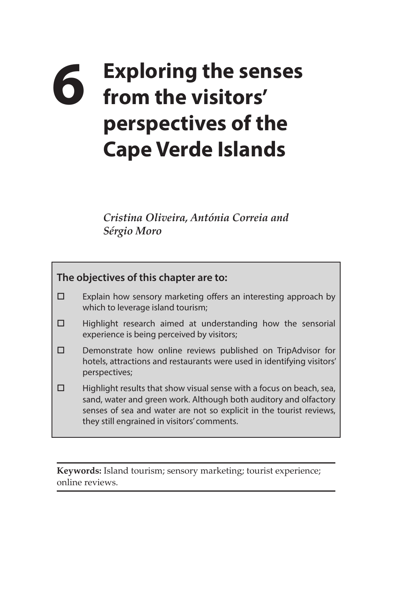# **6 Exploring the senses from the visitors' perspectives of the Cape Verde Islands**

*Cristina Oliveira, Antónia Correia and Sérgio Moro*



**Keywords:** Island tourism; sensory marketing; tourist experience; online reviews.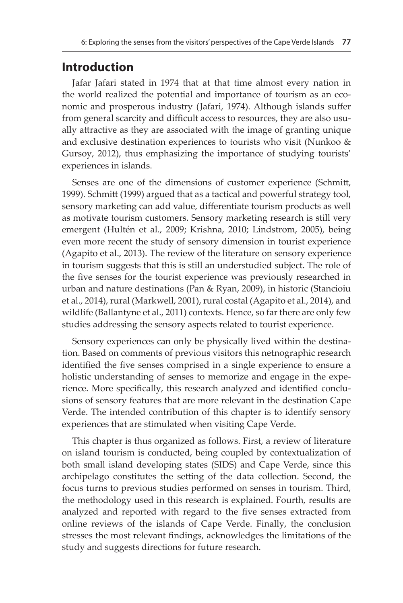## **Introduction**

Jafar Jafari stated in 1974 that at that time almost every nation in the world realized the potential and importance of tourism as an economic and prosperous industry (Jafari, 1974). Although islands suffer from general scarcity and difficult access to resources, they are also usually attractive as they are associated with the image of granting unique and exclusive destination experiences to tourists who visit (Nunkoo & Gursoy, 2012), thus emphasizing the importance of studying tourists' experiences in islands.

Senses are one of the dimensions of customer experience (Schmitt, 1999). Schmitt (1999) argued that as a tactical and powerful strategy tool, sensory marketing can add value, differentiate tourism products as well as motivate tourism customers. Sensory marketing research is still very emergent (Hultén et al., 2009; Krishna, 2010; Lindstrom, 2005), being even more recent the study of sensory dimension in tourist experience (Agapito et al., 2013). The review of the literature on sensory experience in tourism suggests that this is still an understudied subject. The role of the five senses for the tourist experience was previously researched in urban and nature destinations (Pan & Ryan, 2009), in historic (Stancioiu et al., 2014), rural (Markwell, 2001), rural costal (Agapito et al., 2014), and wildlife (Ballantyne et al., 2011) contexts. Hence, so far there are only few studies addressing the sensory aspects related to tourist experience.

Sensory experiences can only be physically lived within the destination. Based on comments of previous visitors this netnographic research identified the five senses comprised in a single experience to ensure a holistic understanding of senses to memorize and engage in the experience. More specifically, this research analyzed and identified conclusions of sensory features that are more relevant in the destination Cape Verde. The intended contribution of this chapter is to identify sensory experiences that are stimulated when visiting Cape Verde.

This chapter is thus organized as follows. First, a review of literature on island tourism is conducted, being coupled by contextualization of both small island developing states (SIDS) and Cape Verde, since this archipelago constitutes the setting of the data collection. Second, the focus turns to previous studies performed on senses in tourism. Third, the methodology used in this research is explained. Fourth, results are analyzed and reported with regard to the five senses extracted from online reviews of the islands of Cape Verde. Finally, the conclusion stresses the most relevant findings, acknowledges the limitations of the study and suggests directions for future research.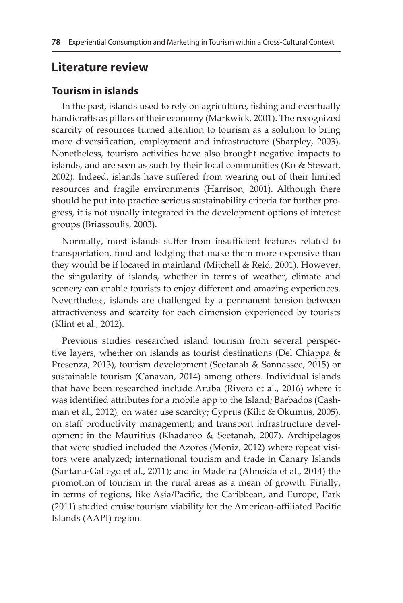## **Literature review**

### **Tourism in islands**

In the past, islands used to rely on agriculture, fishing and eventually handicrafts as pillars of their economy (Markwick, 2001). The recognized scarcity of resources turned attention to tourism as a solution to bring more diversification, employment and infrastructure (Sharpley, 2003). Nonetheless, tourism activities have also brought negative impacts to islands, and are seen as such by their local communities (Ko & Stewart, 2002). Indeed, islands have suffered from wearing out of their limited resources and fragile environments (Harrison, 2001). Although there should be put into practice serious sustainability criteria for further progress, it is not usually integrated in the development options of interest groups (Briassoulis, 2003).

Normally, most islands suffer from insufficient features related to transportation, food and lodging that make them more expensive than they would be if located in mainland (Mitchell & Reid, 2001). However, the singularity of islands, whether in terms of weather, climate and scenery can enable tourists to enjoy different and amazing experiences. Nevertheless, islands are challenged by a permanent tension between attractiveness and scarcity for each dimension experienced by tourists (Klint et al., 2012).

Previous studies researched island tourism from several perspective layers, whether on islands as tourist destinations (Del Chiappa & Presenza, 2013), tourism development (Seetanah & Sannassee, 2015) or sustainable tourism (Canavan, 2014) among others. Individual islands that have been researched include Aruba (Rivera et al., 2016) where it was identified attributes for a mobile app to the Island; Barbados (Cashman et al., 2012), on water use scarcity; Cyprus (Kilic & Okumus, 2005), on staff productivity management; and transport infrastructure development in the Mauritius (Khadaroo & Seetanah, 2007). Archipelagos that were studied included the Azores (Moniz, 2012) where repeat visitors were analyzed; international tourism and trade in Canary Islands (Santana-Gallego et al., 2011); and in Madeira (Almeida et al., 2014) the promotion of tourism in the rural areas as a mean of growth. Finally, in terms of regions, like Asia/Pacific, the Caribbean, and Europe, Park (2011) studied cruise tourism viability for the American-affiliated Pacific Islands (AAPI) region.